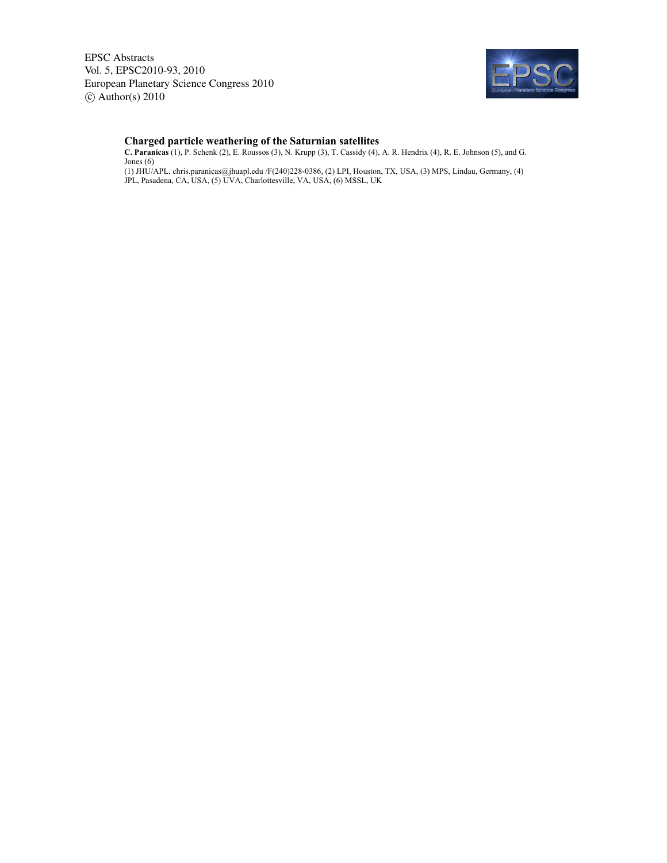EPSC Abstracts Vol. 5, EPSC2010-93, 2010 European Planetary Science Congress 2010  $\circ$  Author(s) 2010



## **Charged particle weathering of the Saturnian satellites**

**C. Paranicas** (1), P. Schenk (2), E. Roussos (3), N. Krupp (3), T. Cassidy (4), A. R. Hendrix (4), R. E. Johnson (5), and G. Jones (6)

(1) JHU/APL, chris.paranicas@jhuapl.edu /F(240)228-0386, (2) LPI, Houston, TX, USA, (3) MPS, Lindau, Germany, (4) JPL, Pasadena, CA, USA, (5) UVA, Charlottesville, VA, USA, (6) MSSL, UK